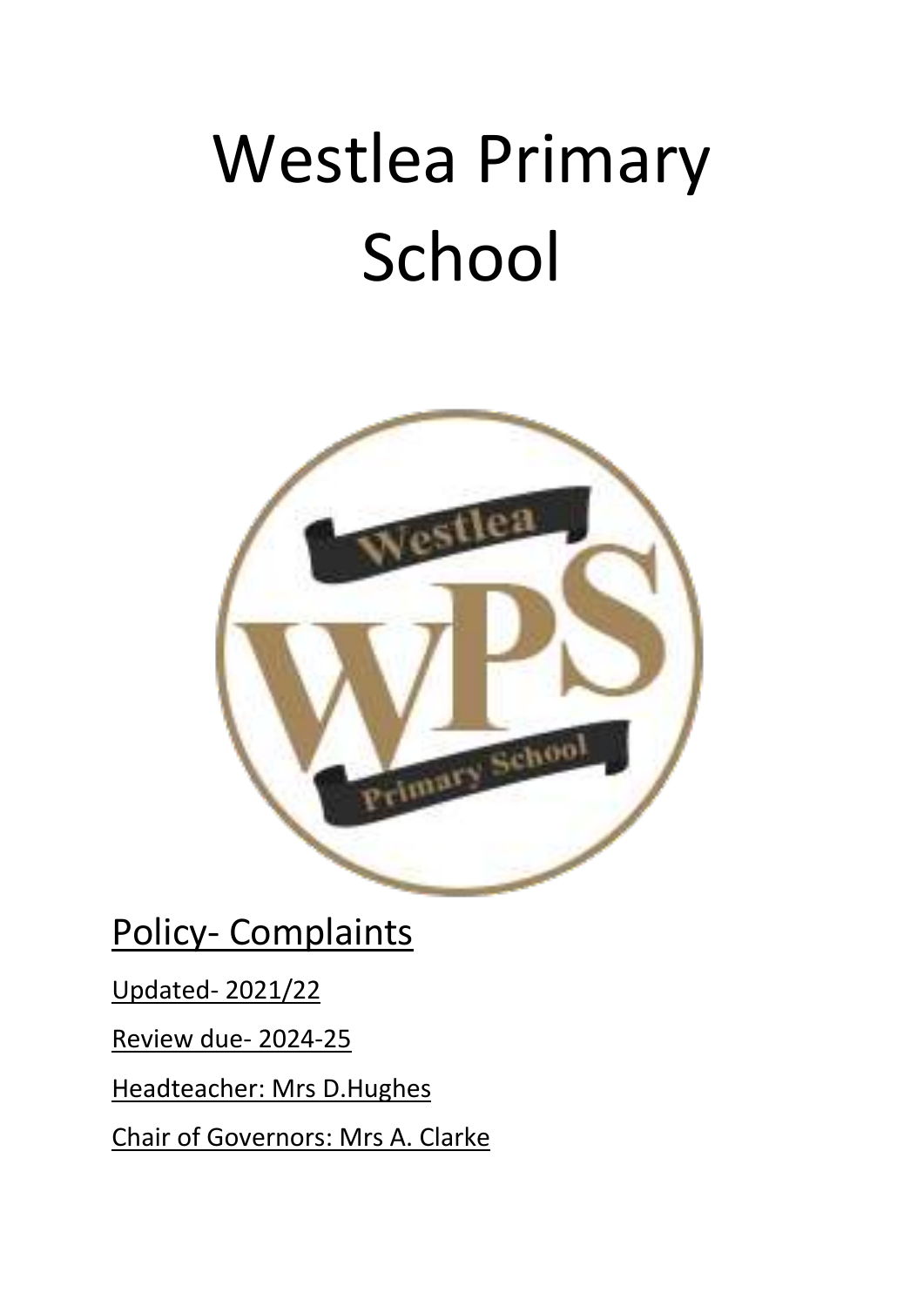# Westlea Primary School



Policy- Complaints

Updated- 2021/22

Review due- 2024-25

Headteacher: Mrs D.Hughes

Chair of Governors: Mrs A. Clarke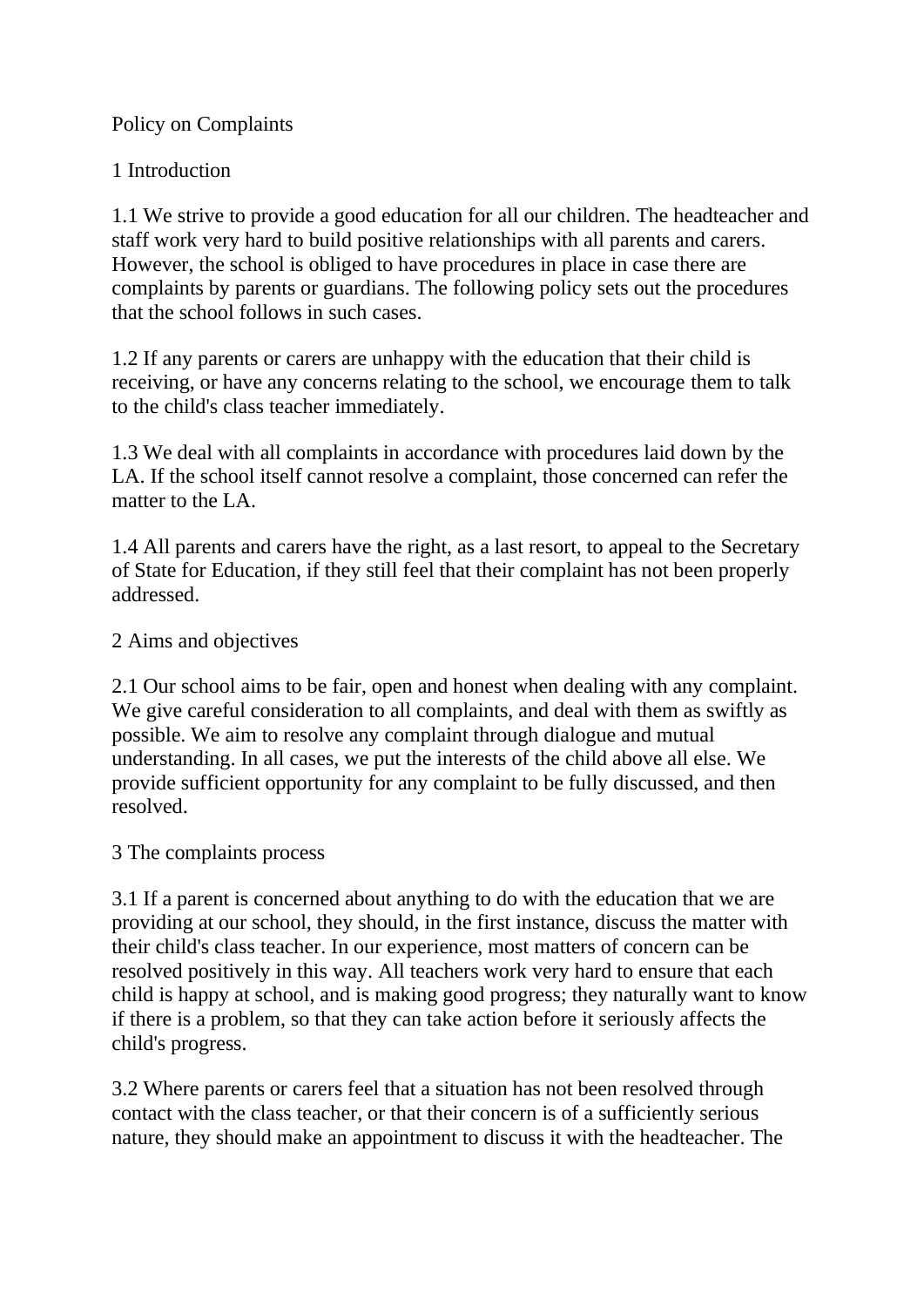### Policy on Complaints

# 1 Introduction

1.1 We strive to provide a good education for all our children. The headteacher and staff work very hard to build positive relationships with all parents and carers. However, the school is obliged to have procedures in place in case there are complaints by parents or guardians. The following policy sets out the procedures that the school follows in such cases.

1.2 If any parents or carers are unhappy with the education that their child is receiving, or have any concerns relating to the school, we encourage them to talk to the child's class teacher immediately.

1.3 We deal with all complaints in accordance with procedures laid down by the LA. If the school itself cannot resolve a complaint, those concerned can refer the matter to the LA.

1.4 All parents and carers have the right, as a last resort, to appeal to the Secretary of State for Education, if they still feel that their complaint has not been properly addressed.

# 2 Aims and objectives

2.1 Our school aims to be fair, open and honest when dealing with any complaint. We give careful consideration to all complaints, and deal with them as swiftly as possible. We aim to resolve any complaint through dialogue and mutual understanding. In all cases, we put the interests of the child above all else. We provide sufficient opportunity for any complaint to be fully discussed, and then resolved.

### 3 The complaints process

3.1 If a parent is concerned about anything to do with the education that we are providing at our school, they should, in the first instance, discuss the matter with their child's class teacher. In our experience, most matters of concern can be resolved positively in this way. All teachers work very hard to ensure that each child is happy at school, and is making good progress; they naturally want to know if there is a problem, so that they can take action before it seriously affects the child's progress.

3.2 Where parents or carers feel that a situation has not been resolved through contact with the class teacher, or that their concern is of a sufficiently serious nature, they should make an appointment to discuss it with the headteacher. The